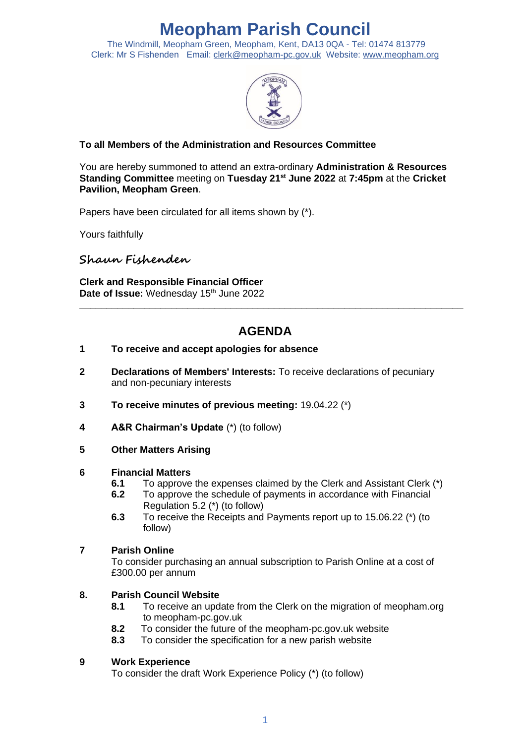# **Meopham Parish Council**

The Windmill, Meopham Green, Meopham, Kent, DA13 0QA - Tel: 01474 813779 Clerk: Mr S Fishenden Email: [clerk@meopham-pc.gov.uk](mailto:clerk@meopham.org) Website: [www.meopham.org](http://www.meopham.org/)



# **To all Members of the Administration and Resources Committee**

You are hereby summoned to attend an extra-ordinary **Administration & Resources Standing Committee** meeting on **Tuesday 21st June 2022** at **7:45pm** at the **Cricket Pavilion, Meopham Green**.

Papers have been circulated for all items shown by (\*).

Yours faithfully

**Shaun Fishenden**

**Clerk and Responsible Financial Officer** Date of Issue: Wednesday 15<sup>th</sup> June 2022

# **AGENDA**

**\_\_\_\_\_\_\_\_\_\_\_\_\_\_\_\_\_\_\_\_\_\_\_\_\_\_\_\_\_\_\_\_\_\_\_\_\_\_\_\_\_\_\_\_\_\_\_\_\_\_\_\_\_\_\_\_\_\_\_\_\_\_\_\_\_\_\_\_\_\_\_**

#### **1 To receive and accept apologies for absence**

- **2 Declarations of Members' Interests:** To receive declarations of pecuniary and non-pecuniary interests
- **3 To receive minutes of previous meeting:** 19.04.22 (\*)
- **4 A&R Chairman's Update** (\*) (to follow)
- **5 Other Matters Arising**

#### **6 Financial Matters**

- **6.1** To approve the expenses claimed by the Clerk and Assistant Clerk (\*)
- **6.2** To approve the schedule of payments in accordance with Financial Regulation 5.2 (\*) (to follow)
- **6.3** To receive the Receipts and Payments report up to 15.06.22 (\*) (to follow)

#### **7 Parish Online**

To consider purchasing an annual subscription to Parish Online at a cost of £300.00 per annum

## **8. Parish Council Website**

- **8.1** To receive an update from the Clerk on the migration of meopham.org to meopham-pc.gov.uk
- **8.2** To consider the future of the meopham-pc.gov.uk website
- **8.3** To consider the specification for a new parish website

## **9 Work Experience**

To consider the draft Work Experience Policy (\*) (to follow)